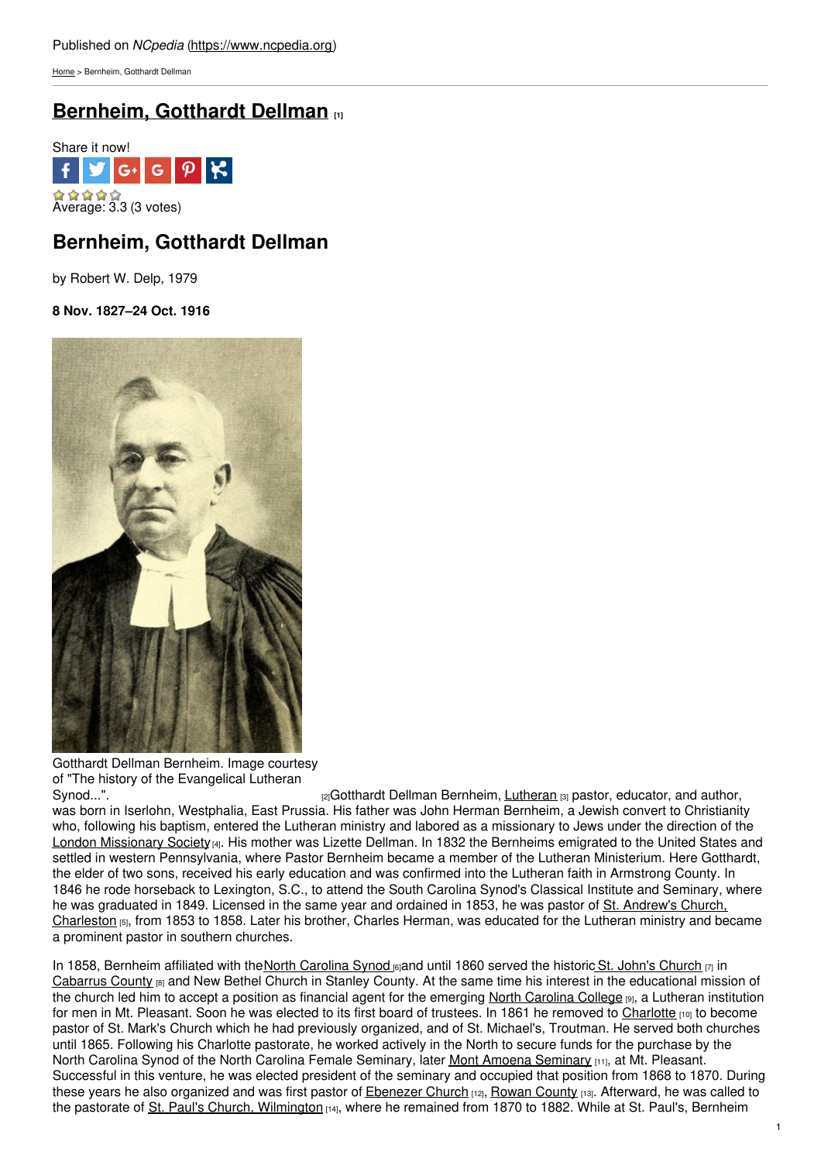[Home](https://www.ncpedia.org/) > Bernheim, Gotthardt Dellman

# **[Bernheim,](https://www.ncpedia.org/biography/bernheim-gotthardt) Gotthardt Dellman [1]**



## **Bernheim, Gotthardt Dellman**

by Robert W. Delp, 1979

**8 Nov. 1827–24 Oct. 1916**



Gotthardt Dellman Bernheim. Image courtesy of "The history of the Evangelical Lutheran

[Synod...".](https://archive.org/details/historyofevangel01bern) **Example 2** and authors in the synoder synod...". **Example 2** and authors in the synoder synoder synoders and author, was born in Iserlohn, Westphalia, East Prussia. His father was John Herman Bernheim, a Jewish convert to Christianity who, following his baptism, entered the Lutheran ministry and labored as a missionary to Jews under the direction of the London [Missionary](https://archive.org/search.php?query=subject%3A%22London+Missionary+Society%22) Society [4]. His mother was Lizette Dellman. In 1832 the Bernheims emigrated to the United States and settled in western Pennsylvania, where Pastor Bernheim became a member of the Lutheran Ministerium. Here Gotthardt, the elder of two sons, received his early education and was confirmed into the Lutheran faith in Armstrong County. In 1846 he rode horseback to Lexington, S.C., to attend the South Carolina Synod's Classical Institute and Seminary, where he was graduated in 1849. Licensed in the same year and ordained in 1853, he was pastor of St. Andrew's Church, [Charleston](http://www.oldstandrews.org/) [5], from 1853 to 1858. Later his brother, Charles Herman, was educated for the Lutheran ministry and became a prominent pastor in southern churches.

In 1858, Bernheim affiliated with the North [Carolina](http://www.nclutheran.org/) Synod  $_{[6]}$ and until 1860 served the historic St. John's [Church](http://www.stjohnslutheranchurch.net/history.html)  $_{[7]}$  in [Cabarrus](https://www.ncpedia.org/geography/cabarrus) County [8] and New Bethel Church in Stanley County. At the same time his interest in the educational mission of the church led him to accept a position as financial agent for the emerging North [Carolina](https://www.ncpedia.org/north-carolina-college) College [9], a Lutheran institution for men in Mt. Pleasant. Soon he was elected to its first board of trustees. In 1861 he removed to [Charlotte](https://www.ncpedia.org/geography/charlotte) [10] to become pastor of St. Mark's Church which he had previously organized, and of St. Michael's, Troutman. He served both churches until 1865. Following his Charlotte pastorate, he worked actively in the North to secure funds for the purchase by the North Carolina Synod of the North Carolina Female [Seminary](https://www.ncpedia.org/mont-amoena-seminary), later Mont Amoena Seminary [11], at Mt. Pleasant. Successful in this venture, he was elected president of the seminary and occupied that position from 1868 to 1870. During these years he also organized and was first pastor of **[Ebenezer](http://www.ebenezerlutheranonline.org/history) Church**  $[12]$ , Rowan [County](https://www.ncpedia.org/geography/rowan)  $[13]$ . Afterward, he was called to the pastorate of St. Paul's Church, [Wilmington](http://stpaulswilmington.org/) [14], where he remained from 1870 to 1882. While at St. Paul's, Bernheim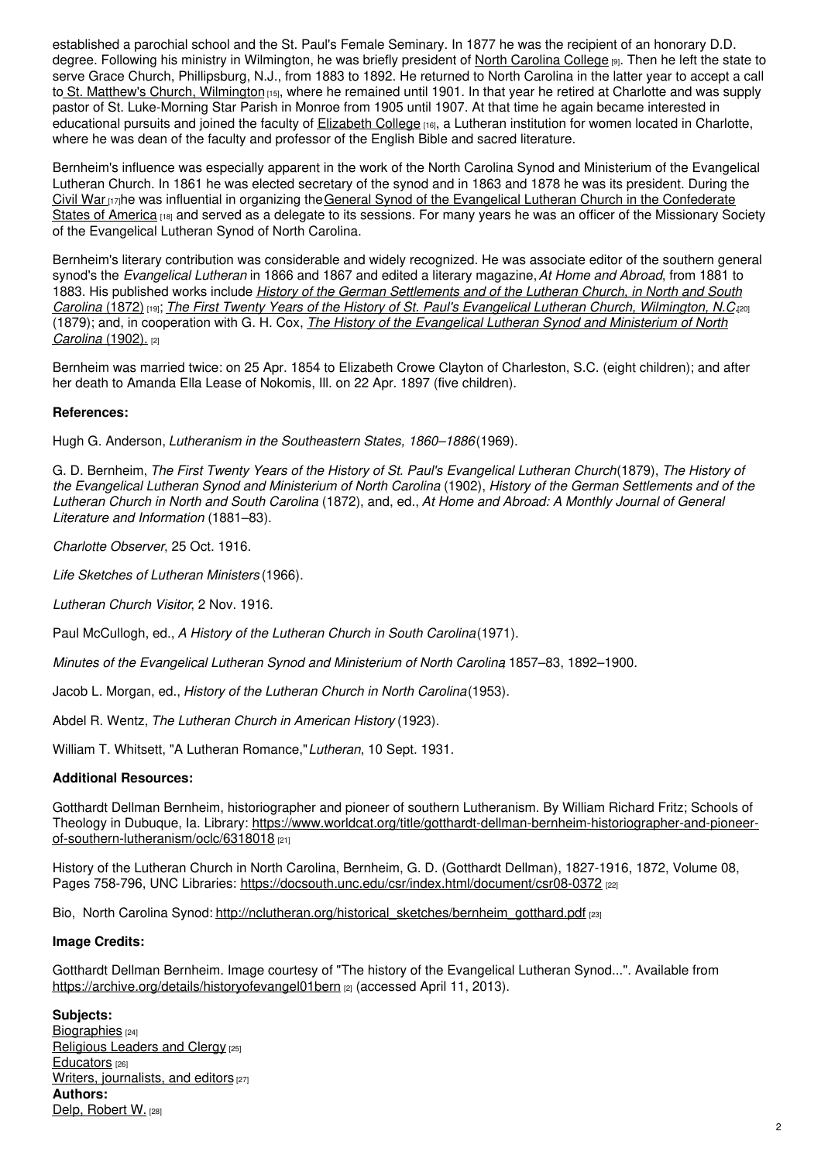established a parochial school and the St. Paul's Female Seminary. In 1877 he was the recipient of an honorary D.D. degree. Following his ministry in Wilmington, he was briefly president of North [Carolina](https://www.ncpedia.org/north-carolina-college) College [9]. Then he left the state to serve Grace Church, Phillipsburg, N.J., from 1883 to 1892. He returned to North Carolina in the latter year to accept a call to St. Matthew's Church, [Wilmington](http://www.stmatthewsch.org/) [15], where he remained until 1901. In that year he retired at Charlotte and was supply pastor of St. Luke-Morning Star Parish in Monroe from 1905 until 1907. At that time he again became interested in educational pursuits and joined the faculty of [Elizabeth](https://www.ncpedia.org/elizabeth-college) College [16], a Lutheran institution for women located in Charlotte, where he was dean of the faculty and professor of the English Bible and sacred literature.

Bernheim's influence was especially apparent in the work of the North Carolina Synod and Ministerium of the Evangelical Lutheran Church. In 1861 he was elected secretary of the synod and in 1863 and 1878 he was its president. During the [Civil](https://www.ncpedia.org/history/cw-1900/civil-war) War [17]he was influential in organizing the General Synod of the Evangelical Lutheran Church in the [Confederate](http://www.hymnary.org/denomination/483) States of America [18] and served as a delegate to its sessions. For many years he was an officer of the Missionary Society of the Evangelical Lutheran Synod of North Carolina.

Bernheim's literary contribution was considerable and widely recognized. He was associate editor of the southern general synod's the *Evangelical Lutheran* in 1866 and 1867 and edited a literary magazine,*At Home and Abroad*, from 1881 to 1883. His published works include *History of the German [Settlements](https://archive.org/details/historyofgermansin00bern) and of the Lutheran Church, in North and South* Carolina (1872) [19]; The First Twenty Years of the History of St. Paul's Evangelical Lutheran Church, [Wilmington,](https://www.worldcat.org/title/first-twenty-years-of-the-history-of-st-pauls-evangelical-lutheran-church-wilmington-nc/oclc/35365468) N.C.(20] (1879); and, in [cooperation](https://archive.org/details/historyofevangel01bern) with G. H. Cox, *The History of the Evangelical Lutheran Synod and Ministerium of North Carolina* (1902). [2]

Bernheim was married twice: on 25 Apr. 1854 to Elizabeth Crowe Clayton of Charleston, S.C. (eight children); and after her death to Amanda Ella Lease of Nokomis, Ill. on 22 Apr. 1897 (five children).

### **References:**

Hugh G. Anderson, *Lutheranism in the Southeastern States, 1860–1886*(1969).

G. D. Bernheim, The First Twenty Years of the History of St. Paul's Evangelical Lutheran Church(1879), The History of the Evangelical Lutheran Synod and Ministerium of North Carolina (1902), History of the German Settlements and of the *Lutheran Church in North and South Carolina* (1872), and, ed., *At Home and Abroad: A Monthly Journal of General Literature and Information* (1881–83).

*Charlotte Observer*, 25 Oct. 1916.

*Life Sketches of Lutheran Ministers* (1966).

*Lutheran Church Visitor*, 2 Nov. 1916.

Paul McCullogh, ed., *A History of the Lutheran Church in South Carolina*(1971).

*Minutes of the Evangelical Lutheran Synod and Ministerium of North Carolina*, 1857–83, 1892–1900.

Jacob L. Morgan, ed., *History of the Lutheran Church in North Carolina*(1953).

Abdel R. Wentz, *The Lutheran Church in American History* (1923).

William T. Whitsett, "A Lutheran Romance,"*Lutheran*, 10 Sept. 1931.

#### **Additional Resources:**

Gotthardt Dellman Bernheim, historiographer and pioneer of southern Lutheranism. By William Richard Fritz; Schools of Theology in Dubuque, Ia. Library: [https://www.worldcat.org/title/gotthardt-dellman-bernheim-historiographer-and-pioneer](https://www.worldcat.org/title/gotthardt-dellman-bernheim-historiographer-and-pioneer-of-southern-lutheranism/oclc/6318018)of-southern-lutheranism/oclc/6318018 [21]

History of the Lutheran Church in North Carolina, Bernheim, G. D. (Gotthardt Dellman), 1827-1916, 1872, Volume 08, Pages 758-796, UNC Libraries: <https://docsouth.unc.edu/csr/index.html/document/csr08-0372> [22]

Bio, North Carolina Synod: [http://nclutheran.org/historical\\_sketches/bernheim\\_gotthard.pdf](http://nclutheran.org/historical_sketches/bernheim_gotthard.pdf) [23]

### **Image Credits:**

Gotthardt Dellman Bernheim. Image courtesy of "The history of the Evangelical Lutheran Synod...". Available from <https://archive.org/details/historyofevangel01bern> [2] (accessed April 11, 2013).

**Subjects:** [Biographies](https://www.ncpedia.org/category/subjects/biography-term) [24] [Religious](https://www.ncpedia.org/category/subjects/clergy) Leaders and Clergy [25] [Educators](https://www.ncpedia.org/category/subjects/educators) [26] Writers, [journalists,](https://www.ncpedia.org/category/subjects/writer) and editors [27] **Authors:** Delp, [Robert](https://www.ncpedia.org/category/authors/delp-robert-w) W. [28]